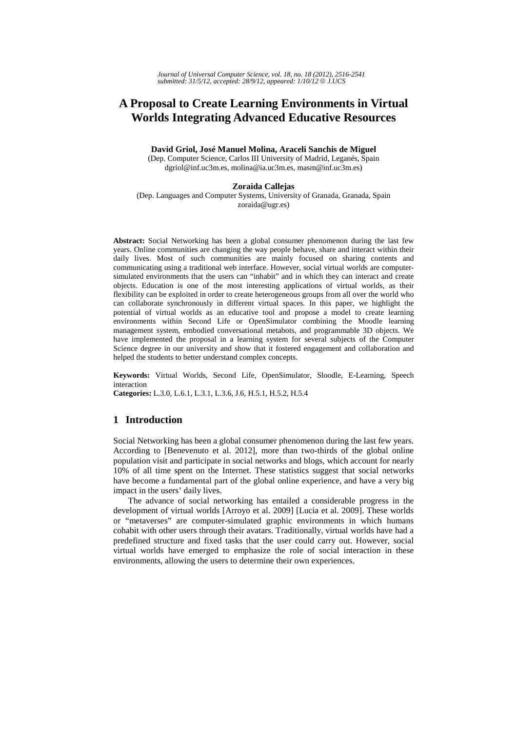# **A Proposal to Create Learning Environments in Virtual Worlds Integrating Advanced Educative Resources**

**David Griol, José Manuel Molina, Araceli Sanchis de Miguel**  (Dep. Computer Science, Carlos III University of Madrid, Leganés, Spain dgriol@inf.uc3m.es, molina@ia.uc3m.es, masm@inf.uc3m.es)

#### **Zoraida Callejas**

(Dep. Languages and Computer Systems, University of Granada, Granada, Spain zoraida@ugr.es)

**Abstract:** Social Networking has been a global consumer phenomenon during the last few years. Online communities are changing the way people behave, share and interact within their daily lives. Most of such communities are mainly focused on sharing contents and communicating using a traditional web interface. However, social virtual worlds are computersimulated environments that the users can "inhabit" and in which they can interact and create objects. Education is one of the most interesting applications of virtual worlds, as their flexibility can be exploited in order to create heterogeneous groups from all over the world who can collaborate synchronously in different virtual spaces. In this paper, we highlight the potential of virtual worlds as an educative tool and propose a model to create learning environments within Second Life or OpenSimulator combining the Moodle learning management system, embodied conversational metabots, and programmable 3D objects. We have implemented the proposal in a learning system for several subjects of the Computer Science degree in our university and show that it fostered engagement and collaboration and helped the students to better understand complex concepts.

**Keywords:** Virtual Worlds, Second Life, OpenSimulator, Sloodle, E-Learning, Speech interaction

**Categories:** L.3.0, L.6.1, L.3.1, L.3.6, J.6, H.5.1, H.5.2, H.5.4

### **1 Introduction**

Social Networking has been a global consumer phenomenon during the last few years. According to [Benevenuto et al. 2012], more than two-thirds of the global online population visit and participate in social networks and blogs, which account for nearly 10% of all time spent on the Internet. These statistics suggest that social networks have become a fundamental part of the global online experience, and have a very big impact in the users' daily lives.

The advance of social networking has entailed a considerable progress in the development of virtual worlds [Arroyo et al. 2009] [Lucia et al. 2009]. These worlds or "metaverses" are computer-simulated graphic environments in which humans cohabit with other users through their avatars. Traditionally, virtual worlds have had a predefined structure and fixed tasks that the user could carry out. However, social virtual worlds have emerged to emphasize the role of social interaction in these environments, allowing the users to determine their own experiences.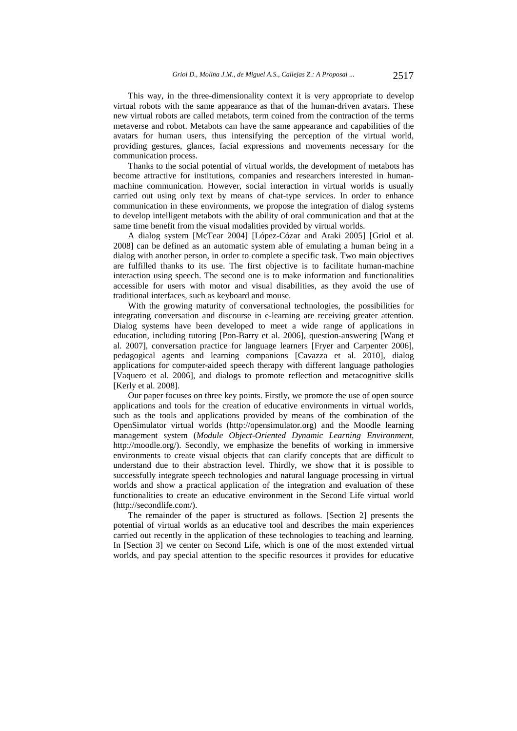This way, in the three-dimensionality context it is very appropriate to develop virtual robots with the same appearance as that of the human-driven avatars. These new virtual robots are called metabots, term coined from the contraction of the terms metaverse and robot. Metabots can have the same appearance and capabilities of the avatars for human users, thus intensifying the perception of the virtual world, providing gestures, glances, facial expressions and movements necessary for the communication process.

Thanks to the social potential of virtual worlds, the development of metabots has become attractive for institutions, companies and researchers interested in humanmachine communication. However, social interaction in virtual worlds is usually carried out using only text by means of chat-type services. In order to enhance communication in these environments, we propose the integration of dialog systems to develop intelligent metabots with the ability of oral communication and that at the same time benefit from the visual modalities provided by virtual worlds.

A dialog system [McTear 2004] [López-Cózar and Araki 2005] [Griol et al. 2008] can be defined as an automatic system able of emulating a human being in a dialog with another person, in order to complete a specific task. Two main objectives are fulfilled thanks to its use. The first objective is to facilitate human-machine interaction using speech. The second one is to make information and functionalities accessible for users with motor and visual disabilities, as they avoid the use of traditional interfaces, such as keyboard and mouse.

With the growing maturity of conversational technologies, the possibilities for integrating conversation and discourse in e-learning are receiving greater attention. Dialog systems have been developed to meet a wide range of applications in education, including tutoring [Pon-Barry et al. 2006], question-answering [Wang et al. 2007], conversation practice for language learners [Fryer and Carpenter 2006], pedagogical agents and learning companions [Cavazza et al. 2010], dialog applications for computer-aided speech therapy with different language pathologies [Vaquero et al. 2006], and dialogs to promote reflection and metacognitive skills [Kerly et al. 2008].

Our paper focuses on three key points. Firstly, we promote the use of open source applications and tools for the creation of educative environments in virtual worlds, such as the tools and applications provided by means of the combination of the OpenSimulator virtual worlds (http://opensimulator.org) and the Moodle learning management system (*Module Object-Oriented Dynamic Learning Environment*, http://moodle.org/). Secondly, we emphasize the benefits of working in immersive environments to create visual objects that can clarify concepts that are difficult to understand due to their abstraction level. Thirdly, we show that it is possible to successfully integrate speech technologies and natural language processing in virtual worlds and show a practical application of the integration and evaluation of these functionalities to create an educative environment in the Second Life virtual world (http://secondlife.com/).

The remainder of the paper is structured as follows. [Section 2] presents the potential of virtual worlds as an educative tool and describes the main experiences carried out recently in the application of these technologies to teaching and learning. In [Section 3] we center on Second Life, which is one of the most extended virtual worlds, and pay special attention to the specific resources it provides for educative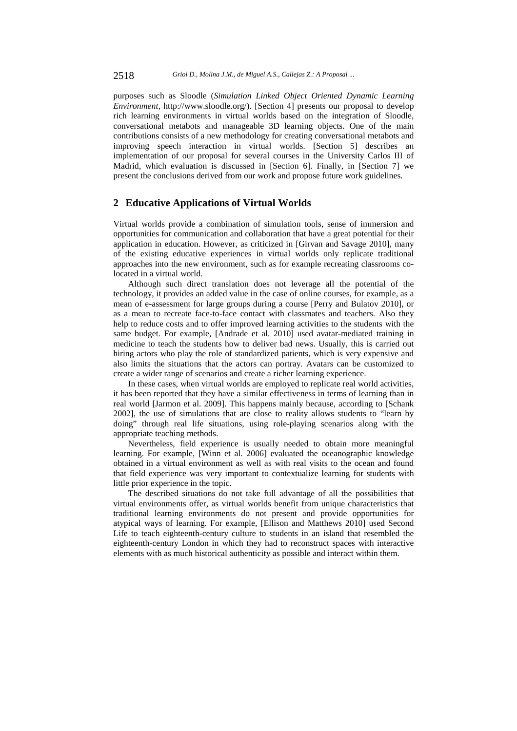purposes such as Sloodle (*Simulation Linked Object Oriented Dynamic Learning Environment*, http://www.sloodle.org/). [Section 4] presents our proposal to develop rich learning environments in virtual worlds based on the integration of Sloodle, conversational metabots and manageable 3D learning objects. One of the main contributions consists of a new methodology for creating conversational metabots and improving speech interaction in virtual worlds. [Section 5] describes an implementation of our proposal for several courses in the University Carlos III of Madrid, which evaluation is discussed in [Section 6]. Finally, in [Section 7] we present the conclusions derived from our work and propose future work guidelines.

### **2 Educative Applications of Virtual Worlds**

Virtual worlds provide a combination of simulation tools, sense of immersion and opportunities for communication and collaboration that have a great potential for their application in education. However, as criticized in [Girvan and Savage 2010], many of the existing educative experiences in virtual worlds only replicate traditional approaches into the new environment, such as for example recreating classrooms colocated in a virtual world.

Although such direct translation does not leverage all the potential of the technology, it provides an added value in the case of online courses, for example, as a mean of e-assessment for large groups during a course [Perry and Bulatov 2010], or as a mean to recreate face-to-face contact with classmates and teachers. Also they help to reduce costs and to offer improved learning activities to the students with the same budget. For example, [Andrade et al. 2010] used avatar-mediated training in medicine to teach the students how to deliver bad news. Usually, this is carried out hiring actors who play the role of standardized patients, which is very expensive and also limits the situations that the actors can portray. Avatars can be customized to create a wider range of scenarios and create a richer learning experience.

In these cases, when virtual worlds are employed to replicate real world activities, it has been reported that they have a similar effectiveness in terms of learning than in real world [Jarmon et al. 2009]. This happens mainly because, according to [Schank 2002], the use of simulations that are close to reality allows students to "learn by doing" through real life situations, using role-playing scenarios along with the appropriate teaching methods.

Nevertheless, field experience is usually needed to obtain more meaningful learning. For example, [Winn et al. 2006] evaluated the oceanographic knowledge obtained in a virtual environment as well as with real visits to the ocean and found that field experience was very important to contextualize learning for students with little prior experience in the topic.

The described situations do not take full advantage of all the possibilities that virtual environments offer, as virtual worlds benefit from unique characteristics that traditional learning environments do not present and provide opportunities for atypical ways of learning. For example, [Ellison and Matthews 2010] used Second Life to teach eighteenth-century culture to students in an island that resembled the eighteenth-century London in which they had to reconstruct spaces with interactive elements with as much historical authenticity as possible and interact within them.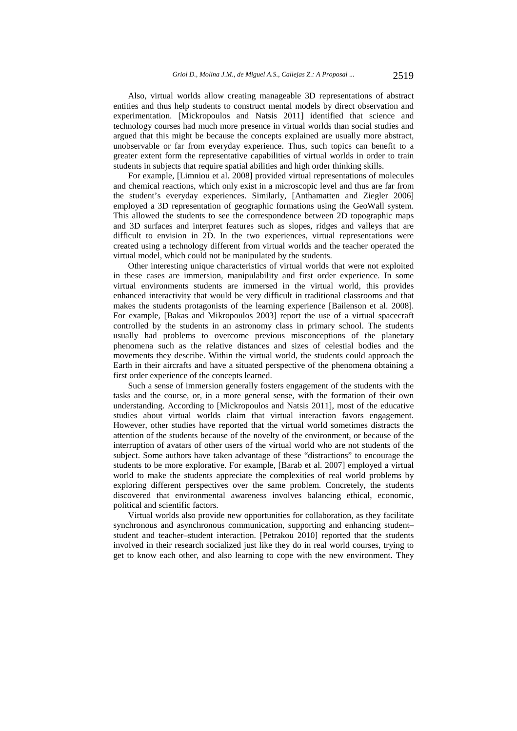Also, virtual worlds allow creating manageable 3D representations of abstract entities and thus help students to construct mental models by direct observation and experimentation. [Mickropoulos and Natsis 2011] identified that science and technology courses had much more presence in virtual worlds than social studies and argued that this might be because the concepts explained are usually more abstract, unobservable or far from everyday experience. Thus, such topics can benefit to a greater extent form the representative capabilities of virtual worlds in order to train students in subjects that require spatial abilities and high order thinking skills.

For example, [Limniou et al. 2008] provided virtual representations of molecules and chemical reactions, which only exist in a microscopic level and thus are far from the student's everyday experiences. Similarly, [Anthamatten and Ziegler 2006] employed a 3D representation of geographic formations using the GeoWall system. This allowed the students to see the correspondence between 2D topographic maps and 3D surfaces and interpret features such as slopes, ridges and valleys that are difficult to envision in 2D. In the two experiences, virtual representations were created using a technology different from virtual worlds and the teacher operated the virtual model, which could not be manipulated by the students.

Other interesting unique characteristics of virtual worlds that were not exploited in these cases are immersion, manipulability and first order experience. In some virtual environments students are immersed in the virtual world, this provides enhanced interactivity that would be very difficult in traditional classrooms and that makes the students protagonists of the learning experience [Bailenson et al. 2008]. For example, [Bakas and Mikropoulos 2003] report the use of a virtual spacecraft controlled by the students in an astronomy class in primary school. The students usually had problems to overcome previous misconceptions of the planetary phenomena such as the relative distances and sizes of celestial bodies and the movements they describe. Within the virtual world, the students could approach the Earth in their aircrafts and have a situated perspective of the phenomena obtaining a first order experience of the concepts learned.

Such a sense of immersion generally fosters engagement of the students with the tasks and the course, or, in a more general sense, with the formation of their own understanding. According to [Mickropoulos and Natsis 2011], most of the educative studies about virtual worlds claim that virtual interaction favors engagement. However, other studies have reported that the virtual world sometimes distracts the attention of the students because of the novelty of the environment, or because of the interruption of avatars of other users of the virtual world who are not students of the subject. Some authors have taken advantage of these "distractions" to encourage the students to be more explorative. For example, [Barab et al. 2007] employed a virtual world to make the students appreciate the complexities of real world problems by exploring different perspectives over the same problem. Concretely, the students discovered that environmental awareness involves balancing ethical, economic, political and scientific factors.

Virtual worlds also provide new opportunities for collaboration, as they facilitate synchronous and asynchronous communication, supporting and enhancing student– student and teacher–student interaction. [Petrakou 2010] reported that the students involved in their research socialized just like they do in real world courses, trying to get to know each other, and also learning to cope with the new environment. They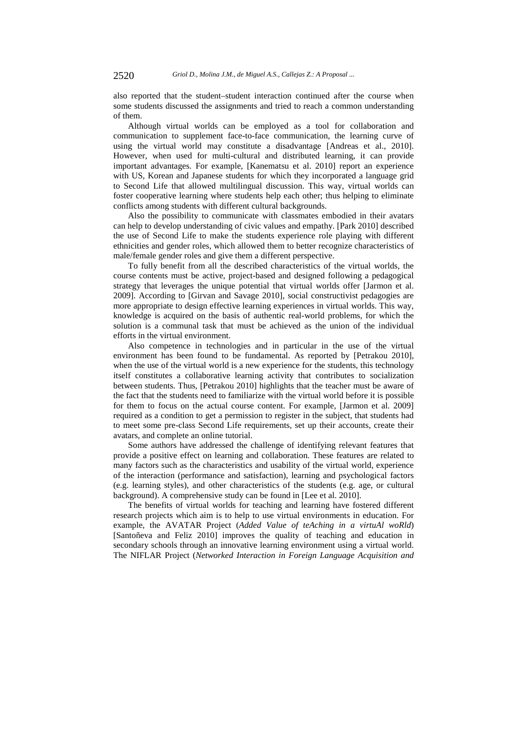also reported that the student–student interaction continued after the course when some students discussed the assignments and tried to reach a common understanding of them.

Although virtual worlds can be employed as a tool for collaboration and communication to supplement face-to-face communication, the learning curve of using the virtual world may constitute a disadvantage [Andreas et al., 2010]. However, when used for multi-cultural and distributed learning, it can provide important advantages. For example, [Kanematsu et al. 2010] report an experience with US, Korean and Japanese students for which they incorporated a language grid to Second Life that allowed multilingual discussion. This way, virtual worlds can foster cooperative learning where students help each other; thus helping to eliminate conflicts among students with different cultural backgrounds.

Also the possibility to communicate with classmates embodied in their avatars can help to develop understanding of civic values and empathy. [Park 2010] described the use of Second Life to make the students experience role playing with different ethnicities and gender roles, which allowed them to better recognize characteristics of male/female gender roles and give them a different perspective.

To fully benefit from all the described characteristics of the virtual worlds, the course contents must be active, project-based and designed following a pedagogical strategy that leverages the unique potential that virtual worlds offer [Jarmon et al. 2009]. According to [Girvan and Savage 2010], social constructivist pedagogies are more appropriate to design effective learning experiences in virtual worlds. This way, knowledge is acquired on the basis of authentic real-world problems, for which the solution is a communal task that must be achieved as the union of the individual efforts in the virtual environment.

Also competence in technologies and in particular in the use of the virtual environment has been found to be fundamental. As reported by [Petrakou 2010], when the use of the virtual world is a new experience for the students, this technology itself constitutes a collaborative learning activity that contributes to socialization between students. Thus, [Petrakou 2010] highlights that the teacher must be aware of the fact that the students need to familiarize with the virtual world before it is possible for them to focus on the actual course content. For example, [Jarmon et al. 2009] required as a condition to get a permission to register in the subject, that students had to meet some pre-class Second Life requirements, set up their accounts, create their avatars, and complete an online tutorial.

Some authors have addressed the challenge of identifying relevant features that provide a positive effect on learning and collaboration. These features are related to many factors such as the characteristics and usability of the virtual world, experience of the interaction (performance and satisfaction), learning and psychological factors (e.g. learning styles), and other characteristics of the students (e.g. age, or cultural background). A comprehensive study can be found in [Lee et al. 2010].

The benefits of virtual worlds for teaching and learning have fostered different research projects which aim is to help to use virtual environments in education. For example, the AVATAR Project (*Added Value of teAching in a virtuAl woRld*) [Santoñeva and Feliz 2010] improves the quality of teaching and education in secondary schools through an innovative learning environment using a virtual world. The NIFLAR Project (*Networked Interaction in Foreign Language Acquisition and*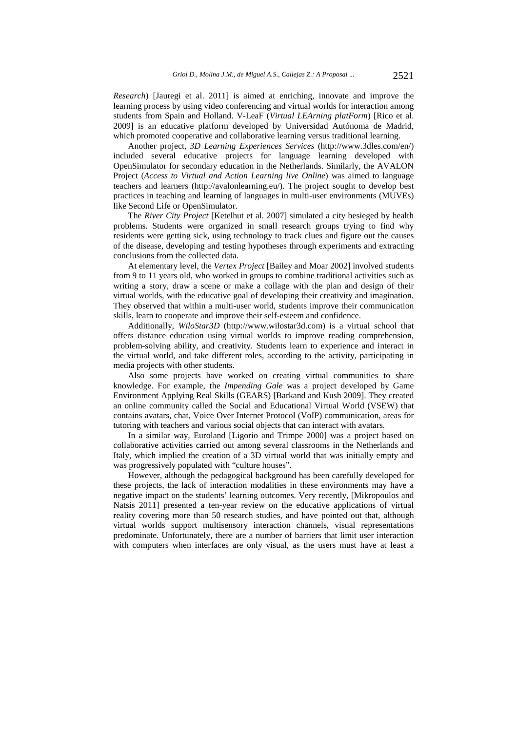*Research*) [Jauregi et al. 2011] is aimed at enriching, innovate and improve the learning process by using video conferencing and virtual worlds for interaction among students from Spain and Holland. V-LeaF (*Virtual LEArning platForm*) [Rico et al. 2009] is an educative platform developed by Universidad Autónoma de Madrid, which promoted cooperative and collaborative learning versus traditional learning.

Another project, *3D Learning Experiences Services* (http://www.3dles.com/en/) included several educative projects for language learning developed with OpenSimulator for secondary education in the Netherlands. Similarly, the AVALON Project (*Access to Virtual and Action Learning live Online*) was aimed to language teachers and learners (http://avalonlearning.eu/). The project sought to develop best practices in teaching and learning of languages in multi-user environments (MUVEs) like Second Life or OpenSimulator.

The *River City Project* [Ketelhut et al. 2007] simulated a city besieged by health problems. Students were organized in small research groups trying to find why residents were getting sick, using technology to track clues and figure out the causes of the disease, developing and testing hypotheses through experiments and extracting conclusions from the collected data.

At elementary level, the *Vertex Project* [Bailey and Moar 2002] involved students from 9 to 11 years old, who worked in groups to combine traditional activities such as writing a story, draw a scene or make a collage with the plan and design of their virtual worlds, with the educative goal of developing their creativity and imagination. They observed that within a multi-user world, students improve their communication skills, learn to cooperate and improve their self-esteem and confidence.

Additionally, *WiloStar3D* (http://www.wilostar3d.com) is a virtual school that offers distance education using virtual worlds to improve reading comprehension, problem-solving ability, and creativity. Students learn to experience and interact in the virtual world, and take different roles, according to the activity, participating in media projects with other students.

Also some projects have worked on creating virtual communities to share knowledge. For example, the *Impending Gale* was a project developed by Game Environment Applying Real Skills (GEARS) [Barkand and Kush 2009]. They created an online community called the Social and Educational Virtual World (VSEW) that contains avatars, chat, Voice Over Internet Protocol (VoIP) communication, areas for tutoring with teachers and various social objects that can interact with avatars.

In a similar way, Euroland [Ligorio and Trimpe 2000] was a project based on collaborative activities carried out among several classrooms in the Netherlands and Italy, which implied the creation of a 3D virtual world that was initially empty and was progressively populated with "culture houses".

However, although the pedagogical background has been carefully developed for these projects, the lack of interaction modalities in these environments may have a negative impact on the students' learning outcomes. Very recently, [Mikropoulos and Natsis 2011] presented a ten-year review on the educative applications of virtual reality covering more than 50 research studies, and have pointed out that, although virtual worlds support multisensory interaction channels, visual representations predominate. Unfortunately, there are a number of barriers that limit user interaction with computers when interfaces are only visual, as the users must have at least a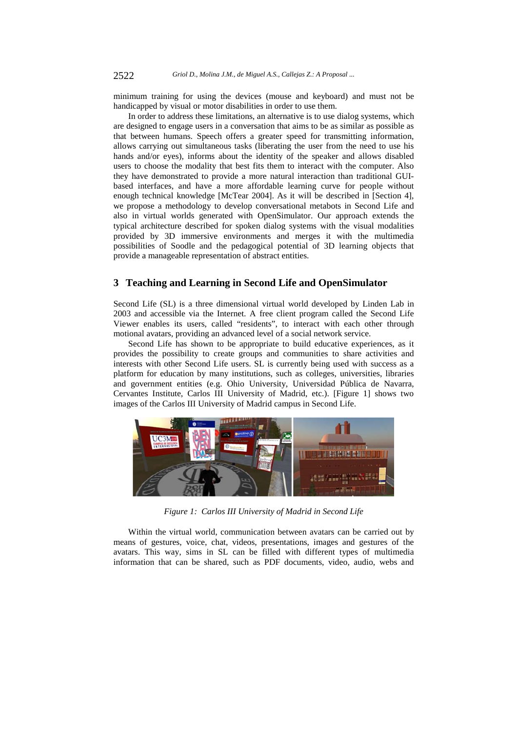minimum training for using the devices (mouse and keyboard) and must not be handicapped by visual or motor disabilities in order to use them.

In order to address these limitations, an alternative is to use dialog systems, which are designed to engage users in a conversation that aims to be as similar as possible as that between humans. Speech offers a greater speed for transmitting information, allows carrying out simultaneous tasks (liberating the user from the need to use his hands and/or eyes), informs about the identity of the speaker and allows disabled users to choose the modality that best fits them to interact with the computer. Also they have demonstrated to provide a more natural interaction than traditional GUIbased interfaces, and have a more affordable learning curve for people without enough technical knowledge [McTear 2004]. As it will be described in [Section 4], we propose a methodology to develop conversational metabots in Second Life and also in virtual worlds generated with OpenSimulator. Our approach extends the typical architecture described for spoken dialog systems with the visual modalities provided by 3D immersive environments and merges it with the multimedia possibilities of Soodle and the pedagogical potential of 3D learning objects that provide a manageable representation of abstract entities.

### **3 Teaching and Learning in Second Life and OpenSimulator**

Second Life (SL) is a three dimensional virtual world developed by Linden Lab in 2003 and accessible via the Internet. A free client program called the Second Life Viewer enables its users, called "residents", to interact with each other through motional avatars, providing an advanced level of a social network service.

Second Life has shown to be appropriate to build educative experiences, as it provides the possibility to create groups and communities to share activities and interests with other Second Life users. SL is currently being used with success as a platform for education by many institutions, such as colleges, universities, libraries and government entities (e.g. Ohio University, Universidad Pública de Navarra, Cervantes Institute, Carlos III University of Madrid, etc.). [Figure 1] shows two images of the Carlos III University of Madrid campus in Second Life.



*Figure 1: Carlos III University of Madrid in Second Life* 

Within the virtual world, communication between avatars can be carried out by means of gestures, voice, chat, videos, presentations, images and gestures of the avatars. This way, sims in SL can be filled with different types of multimedia information that can be shared, such as PDF documents, video, audio, webs and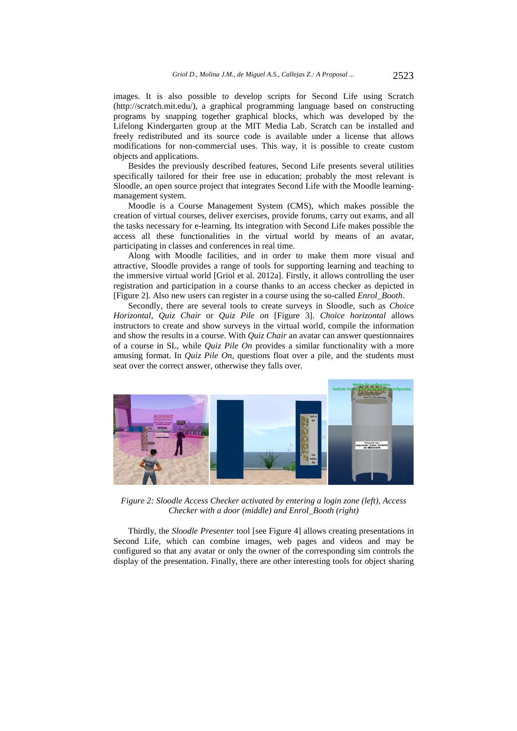images. It is also possible to develop scripts for Second Life using Scratch (http://scratch.mit.edu/), a graphical programming language based on constructing programs by snapping together graphical blocks, which was developed by the Lifelong Kindergarten group at the MIT Media Lab. Scratch can be installed and freely redistributed and its source code is available under a license that allows modifications for non-commercial uses. This way, it is possible to create custom objects and applications.

Besides the previously described features, Second Life presents several utilities specifically tailored for their free use in education; probably the most relevant is Sloodle, an open source project that integrates Second Life with the Moodle learningmanagement system.

Moodle is a Course Management System (CMS), which makes possible the creation of virtual courses, deliver exercises, provide forums, carry out exams, and all the tasks necessary for e-learning. Its integration with Second Life makes possible the access all these functionalities in the virtual world by means of an avatar, participating in classes and conferences in real time.

Along with Moodle facilities, and in order to make them more visual and attractive, Sloodle provides a range of tools for supporting learning and teaching to the immersive virtual world [Griol et al. 2012a]. Firstly, it allows controlling the user registration and participation in a course thanks to an access checker as depicted in [Figure 2]. Also new users can register in a course using the so-called *Enrol\_Booth*.

Secondly, there are several tools to create surveys in Sloodle, such as *Choice Horizontal*, *Quiz Chair* or *Quiz Pile on* [Figure 3]. *Choice horizontal* allows instructors to create and show surveys in the virtual world, compile the information and show the results in a course. With *Quiz Chair* an avatar can answer questionnaires of a course in SL, while *Quiz Pile On* provides a similar functionality with a more amusing format. In *Quiz Pile On*, questions float over a pile, and the students must seat over the correct answer, otherwise they falls over.



*Figure 2: Sloodle Access Checker activated by entering a login zone (left), Access Checker with a door (middle) and Enrol\_Booth (right)* 

Thirdly, the *Sloodle Presenter* tool [see Figure 4] allows creating presentations in Second Life, which can combine images, web pages and videos and may be configured so that any avatar or only the owner of the corresponding sim controls the display of the presentation. Finally, there are other interesting tools for object sharing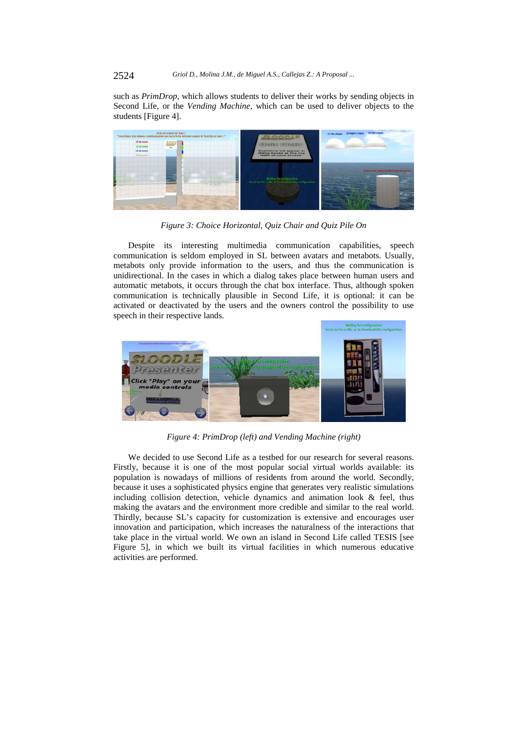2524 *Griol D., Molina J.M., de Miguel A.S., Callejas Z.: A Proposal ...*

such as *PrimDrop*, which allows students to deliver their works by sending objects in Second Life, or the *Vending Machine*, which can be used to deliver objects to the students [Figure 4].



*Figure 3: Choice Horizontal, Quiz Chair and Quiz Pile On* 

Despite its interesting multimedia communication capabilities, speech communication is seldom employed in SL between avatars and metabots. Usually, metabots only provide information to the users, and thus the communication is unidirectional. In the cases in which a dialog takes place between human users and automatic metabots, it occurs through the chat box interface. Thus, although spoken communication is technically plausible in Second Life, it is optional: it can be activated or deactivated by the users and the owners control the possibility to use speech in their respective lands.



*Figure 4: PrimDrop (left) and Vending Machine (right)* 

We decided to use Second Life as a testbed for our research for several reasons. Firstly, because it is one of the most popular social virtual worlds available: its population is nowadays of millions of residents from around the world. Secondly, because it uses a sophisticated physics engine that generates very realistic simulations including collision detection, vehicle dynamics and animation look & feel, thus making the avatars and the environment more credible and similar to the real world. Thirdly, because SL's capacity for customization is extensive and encourages user innovation and participation, which increases the naturalness of the interactions that take place in the virtual world. We own an island in Second Life called TESIS [see Figure 5], in which we built its virtual facilities in which numerous educative activities are performed.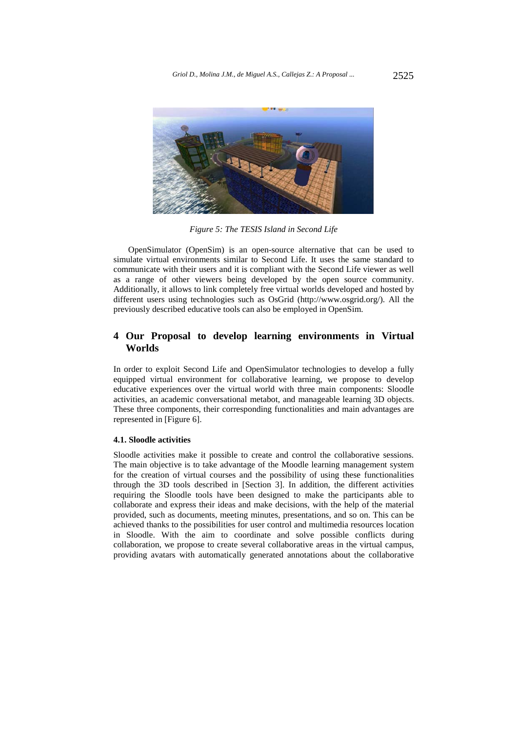

*Figure 5: The TESIS Island in Second Life* 

OpenSimulator (OpenSim) is an open-source alternative that can be used to simulate virtual environments similar to Second Life. It uses the same standard to communicate with their users and it is compliant with the Second Life viewer as well as a range of other viewers being developed by the open source community. Additionally, it allows to link completely free virtual worlds developed and hosted by different users using technologies such as OsGrid (http://www.osgrid.org/). All the previously described educative tools can also be employed in OpenSim.

## **4 Our Proposal to develop learning environments in Virtual Worlds**

In order to exploit Second Life and OpenSimulator technologies to develop a fully equipped virtual environment for collaborative learning, we propose to develop educative experiences over the virtual world with three main components: Sloodle activities, an academic conversational metabot, and manageable learning 3D objects. These three components, their corresponding functionalities and main advantages are represented in [Figure 6].

#### **4.1. Sloodle activities**

Sloodle activities make it possible to create and control the collaborative sessions. The main objective is to take advantage of the Moodle learning management system for the creation of virtual courses and the possibility of using these functionalities through the 3D tools described in [Section 3]. In addition, the different activities requiring the Sloodle tools have been designed to make the participants able to collaborate and express their ideas and make decisions, with the help of the material provided, such as documents, meeting minutes, presentations, and so on. This can be achieved thanks to the possibilities for user control and multimedia resources location in Sloodle. With the aim to coordinate and solve possible conflicts during collaboration, we propose to create several collaborative areas in the virtual campus, providing avatars with automatically generated annotations about the collaborative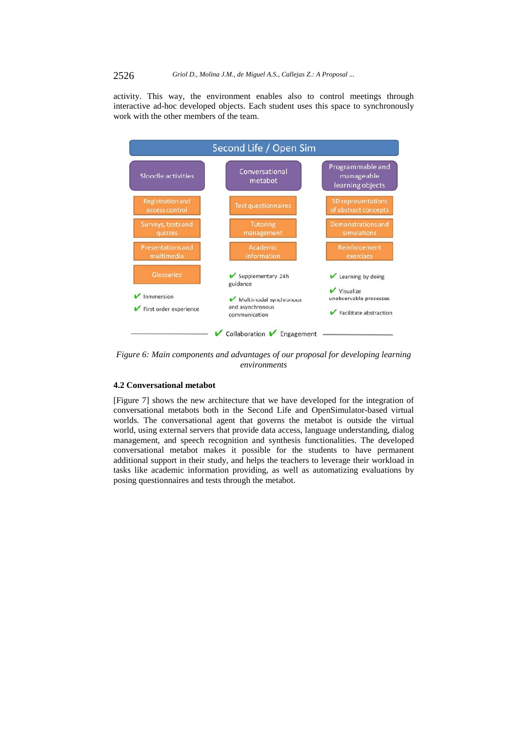activity. This way, the environment enables also to control meetings through interactive ad-hoc developed objects. Each student uses this space to synchronously work with the other members of the team.



*Figure 6: Main components and advantages of our proposal for developing learning environments* 

### **4.2 Conversational metabot**

[Figure 7] shows the new architecture that we have developed for the integration of conversational metabots both in the Second Life and OpenSimulator-based virtual worlds. The conversational agent that governs the metabot is outside the virtual world, using external servers that provide data access, language understanding, dialog management, and speech recognition and synthesis functionalities. The developed conversational metabot makes it possible for the students to have permanent additional support in their study, and helps the teachers to leverage their workload in tasks like academic information providing, as well as automatizing evaluations by posing questionnaires and tests through the metabot.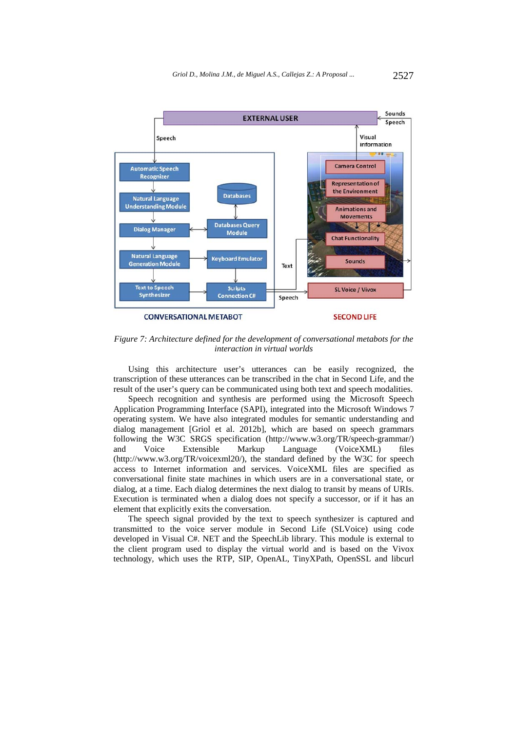

*Figure 7: Architecture defined for the development of conversational metabots for the interaction in virtual worlds* 

Using this architecture user's utterances can be easily recognized, the transcription of these utterances can be transcribed in the chat in Second Life, and the result of the user's query can be communicated using both text and speech modalities.

Speech recognition and synthesis are performed using the Microsoft Speech Application Programming Interface (SAPI), integrated into the Microsoft Windows 7 operating system. We have also integrated modules for semantic understanding and dialog management [Griol et al. 2012b], which are based on speech grammars following the W3C SRGS specification (http://www.w3.org/TR/speech-grammar/) and Voice Extensible Markup Language (VoiceXML) files (http://www.w3.org/TR/voicexml20/), the standard defined by the W3C for speech access to Internet information and services. VoiceXML files are specified as conversational finite state machines in which users are in a conversational state, or dialog, at a time. Each dialog determines the next dialog to transit by means of URIs. Execution is terminated when a dialog does not specify a successor, or if it has an element that explicitly exits the conversation.

The speech signal provided by the text to speech synthesizer is captured and transmitted to the voice server module in Second Life (SLVoice) using code developed in Visual C#. NET and the SpeechLib library. This module is external to the client program used to display the virtual world and is based on the Vivox technology, which uses the RTP, SIP, OpenAL, TinyXPath, OpenSSL and libcurl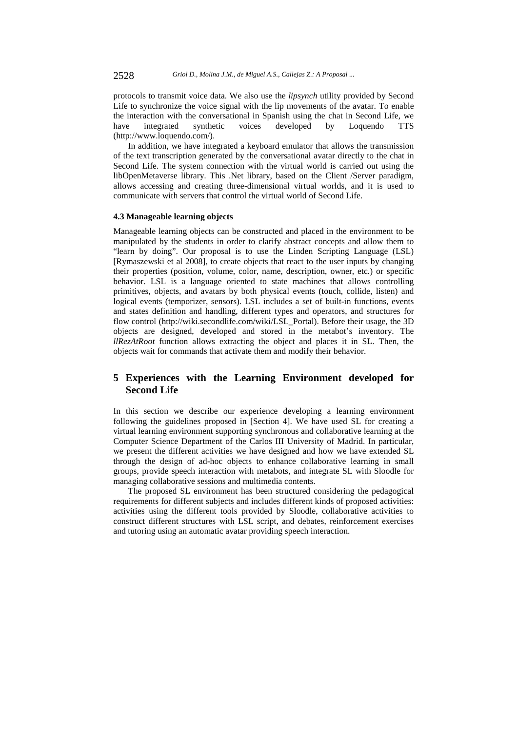protocols to transmit voice data. We also use the *lipsynch* utility provided by Second Life to synchronize the voice signal with the lip movements of the avatar. To enable the interaction with the conversational in Spanish using the chat in Second Life, we have integrated synthetic voices developed by Loquendo TTS (http://www.loquendo.com/).

In addition, we have integrated a keyboard emulator that allows the transmission of the text transcription generated by the conversational avatar directly to the chat in Second Life. The system connection with the virtual world is carried out using the libOpenMetaverse library. This .Net library, based on the Client /Server paradigm, allows accessing and creating three-dimensional virtual worlds, and it is used to communicate with servers that control the virtual world of Second Life.

#### **4.3 Manageable learning objects**

Manageable learning objects can be constructed and placed in the environment to be manipulated by the students in order to clarify abstract concepts and allow them to "learn by doing". Our proposal is to use the Linden Scripting Language (LSL) [Rymaszewski et al 2008], to create objects that react to the user inputs by changing their properties (position, volume, color, name, description, owner, etc.) or specific behavior. LSL is a language oriented to state machines that allows controlling primitives, objects, and avatars by both physical events (touch, collide, listen) and logical events (temporizer, sensors). LSL includes a set of built-in functions, events and states definition and handling, different types and operators, and structures for flow control (http://wiki.secondlife.com/wiki/LSL\_Portal). Before their usage, the 3D objects are designed, developed and stored in the metabot's inventory. The *llRezAtRoot* function allows extracting the object and places it in SL. Then, the objects wait for commands that activate them and modify their behavior.

## **5 Experiences with the Learning Environment developed for Second Life**

In this section we describe our experience developing a learning environment following the guidelines proposed in [Section 4]. We have used SL for creating a virtual learning environment supporting synchronous and collaborative learning at the Computer Science Department of the Carlos III University of Madrid. In particular, we present the different activities we have designed and how we have extended SL through the design of ad-hoc objects to enhance collaborative learning in small groups, provide speech interaction with metabots, and integrate SL with Sloodle for managing collaborative sessions and multimedia contents.

The proposed SL environment has been structured considering the pedagogical requirements for different subjects and includes different kinds of proposed activities: activities using the different tools provided by Sloodle, collaborative activities to construct different structures with LSL script, and debates, reinforcement exercises and tutoring using an automatic avatar providing speech interaction.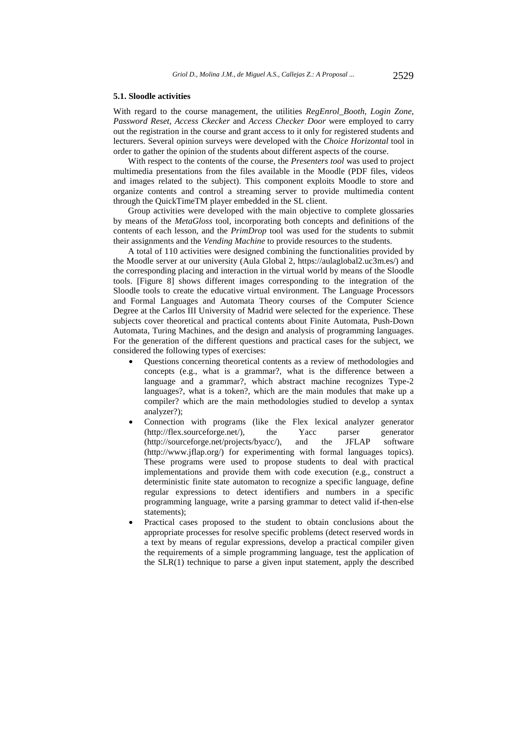#### **5.1. Sloodle activities**

With regard to the course management, the utilities *RegEnrol\_Booth, Login Zone*, *Password Reset*, *Access Ckecker* and *Access Checker Door* were employed to carry out the registration in the course and grant access to it only for registered students and lecturers. Several opinion surveys were developed with the *Choice Horizontal* tool in order to gather the opinion of the students about different aspects of the course.

With respect to the contents of the course, the *Presenters tool* was used to project multimedia presentations from the files available in the Moodle (PDF files, videos and images related to the subject). This component exploits Moodle to store and organize contents and control a streaming server to provide multimedia content through the QuickTimeTM player embedded in the SL client.

Group activities were developed with the main objective to complete glossaries by means of the *MetaGloss* tool, incorporating both concepts and definitions of the contents of each lesson, and the *PrimDrop* tool was used for the students to submit their assignments and the *Vending Machine* to provide resources to the students.

A total of 110 activities were designed combining the functionalities provided by the Moodle server at our university (Aula Global 2, https://aulaglobal2.uc3m.es/) and the corresponding placing and interaction in the virtual world by means of the Sloodle tools. [Figure 8] shows different images corresponding to the integration of the Sloodle tools to create the educative virtual environment. The Language Processors and Formal Languages and Automata Theory courses of the Computer Science Degree at the Carlos III University of Madrid were selected for the experience. These subjects cover theoretical and practical contents about Finite Automata, Push-Down Automata, Turing Machines, and the design and analysis of programming languages. For the generation of the different questions and practical cases for the subject, we considered the following types of exercises:

- Questions concerning theoretical contents as a review of methodologies and concepts (e.g., what is a grammar?, what is the difference between a language and a grammar?, which abstract machine recognizes Type-2 languages?, what is a token?, which are the main modules that make up a compiler? which are the main methodologies studied to develop a syntax analyzer?);
- Connection with programs (like the Flex lexical analyzer generator (http://flex.sourceforge.net/), the Yacc parser generator (http://flex.sourceforge.net/), the Yacc parser generator (http://sourceforge.net/projects/byacc/), and the JFLAP software (http://www.jflap.org/) for experimenting with formal languages topics). These programs were used to propose students to deal with practical implementations and provide them with code execution (e.g., construct a deterministic finite state automaton to recognize a specific language, define regular expressions to detect identifiers and numbers in a specific programming language, write a parsing grammar to detect valid if-then-else statements);
- Practical cases proposed to the student to obtain conclusions about the appropriate processes for resolve specific problems (detect reserved words in a text by means of regular expressions, develop a practical compiler given the requirements of a simple programming language, test the application of the SLR(1) technique to parse a given input statement, apply the described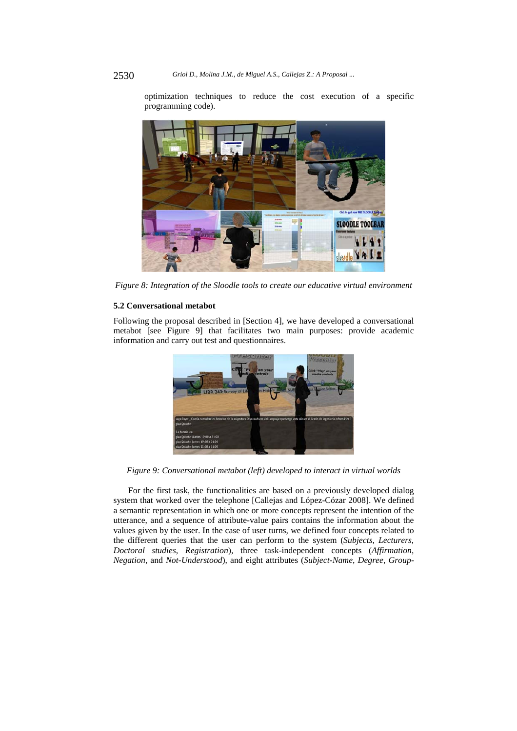optimization techniques to reduce the cost execution of a specific programming code).



*Figure 8: Integration of the Sloodle tools to create our educative virtual environment* 

#### **5.2 Conversational metabot**

Following the proposal described in [Section 4], we have developed a conversational metabot [see Figure 9] that facilitates two main purposes: provide academic information and carry out test and questionnaires.



*Figure 9: Conversational metabot (left) developed to interact in virtual worlds* 

For the first task, the functionalities are based on a previously developed dialog system that worked over the telephone [Callejas and López-Cózar 2008]. We defined a semantic representation in which one or more concepts represent the intention of the utterance, and a sequence of attribute-value pairs contains the information about the values given by the user. In the case of user turns, we defined four concepts related to the different queries that the user can perform to the system (*Subjects*, *Lecturers*, *Doctoral studies*, *Registration*), three task-independent concepts (*Affirmation*, *Negation*, and *Not-Understood*), and eight attributes (*Subject-Name*, *Degree*, *Group-*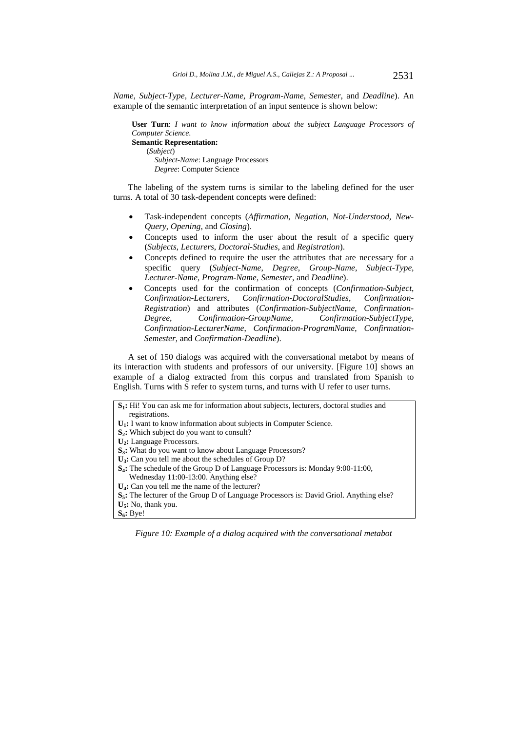*Name*, *Subject-Type*, *Lecturer-Name*, *Program-Name*, *Semester*, and *Deadline*). An example of the semantic interpretation of an input sentence is shown below:

**User Turn**: *I want to know information about the subject Language Processors of Computer Science*. **Semantic Representation:**  (*Subject*) *Subject-Name*: Language Processors *Degree*: Computer Science

The labeling of the system turns is similar to the labeling defined for the user turns. A total of 30 task-dependent concepts were defined:

- Task-independent concepts (*Affirmation*, *Negation*, *Not-Understood*, *New-Query*, *Opening*, and *Closing*).
- Concepts used to inform the user about the result of a specific query (*Subjects*, *Lecturers*, *Doctoral-Studies*, and *Registration*).
- Concepts defined to require the user the attributes that are necessary for a specific query (*Subject-Name*, *Degree*, *Group-Name*, *Subject-Type, Lecturer-Name*, *Program-Name*, *Semester*, and *Deadline*).
- Concepts used for the confirmation of concepts (*Confirmation-Subject*, *Confirmation-Lecturers*, *Confirmation-DoctoralStudies*, *Confirmation-Registration*) and attributes (*Confirmation-SubjectName*, *Confirmation-Degree*, *Confirmation-GroupName*, *Confirmation-SubjectType*, *Confirmation-LecturerName*, *Confirmation-ProgramName*, *Confirmation-Semester*, and *Confirmation-Deadline*).

A set of 150 dialogs was acquired with the conversational metabot by means of its interaction with students and professors of our university. [Figure 10] shows an example of a dialog extracted from this corpus and translated from Spanish to English. Turns with S refer to system turns, and turns with U refer to user turns.

| <b>S<sub>1</sub></b> : Hi! You can ask me for information about subjects, lecturers, doctoral studies and |
|-----------------------------------------------------------------------------------------------------------|
| registrations.                                                                                            |
| $U_1$ : I want to know information about subjects in Computer Science.                                    |
| $S_2$ : Which subject do you want to consult?                                                             |
| $U_2$ : Language Processors.                                                                              |
| <b>S<sub>3</sub>:</b> What do you want to know about Language Processors?                                 |
| $U_3$ : Can you tell me about the schedules of Group D?                                                   |
| $S_4$ : The schedule of the Group D of Language Processors is: Monday 9:00-11:00,                         |
| Wednesday 11:00-13:00. Anything else?                                                                     |
| $U_4$ : Can you tell me the name of the lecturer?                                                         |
| <b>S<sub>5</sub>:</b> The lecturer of the Group D of Language Processors is: David Griol. Anything else?  |
| $U5$ : No, thank you.                                                                                     |
| $S_6$ : Bye!                                                                                              |

*Figure 10: Example of a dialog acquired with the conversational metabot*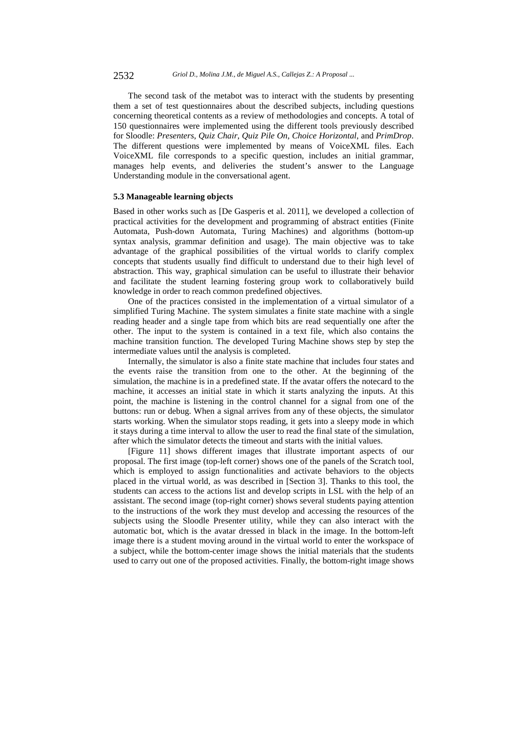The second task of the metabot was to interact with the students by presenting them a set of test questionnaires about the described subjects, including questions concerning theoretical contents as a review of methodologies and concepts. A total of 150 questionnaires were implemented using the different tools previously described for Sloodle: *Presenters*, *Quiz Chair*, *Quiz Pile On*, *Choice Horizontal*, and *PrimDrop*. The different questions were implemented by means of VoiceXML files. Each VoiceXML file corresponds to a specific question, includes an initial grammar, manages help events, and deliveries the student's answer to the Language Understanding module in the conversational agent.

#### **5.3 Manageable learning objects**

Based in other works such as [De Gasperis et al. 2011], we developed a collection of practical activities for the development and programming of abstract entities (Finite Automata, Push-down Automata, Turing Machines) and algorithms (bottom-up syntax analysis, grammar definition and usage). The main objective was to take advantage of the graphical possibilities of the virtual worlds to clarify complex concepts that students usually find difficult to understand due to their high level of abstraction. This way, graphical simulation can be useful to illustrate their behavior and facilitate the student learning fostering group work to collaboratively build knowledge in order to reach common predefined objectives.

One of the practices consisted in the implementation of a virtual simulator of a simplified Turing Machine. The system simulates a finite state machine with a single reading header and a single tape from which bits are read sequentially one after the other. The input to the system is contained in a text file, which also contains the machine transition function. The developed Turing Machine shows step by step the intermediate values until the analysis is completed.

Internally, the simulator is also a finite state machine that includes four states and the events raise the transition from one to the other. At the beginning of the simulation, the machine is in a predefined state. If the avatar offers the notecard to the machine, it accesses an initial state in which it starts analyzing the inputs. At this point, the machine is listening in the control channel for a signal from one of the buttons: run or debug. When a signal arrives from any of these objects, the simulator starts working. When the simulator stops reading, it gets into a sleepy mode in which it stays during a time interval to allow the user to read the final state of the simulation, after which the simulator detects the timeout and starts with the initial values.

[Figure 11] shows different images that illustrate important aspects of our proposal. The first image (top-left corner) shows one of the panels of the Scratch tool, which is employed to assign functionalities and activate behaviors to the objects placed in the virtual world, as was described in [Section 3]. Thanks to this tool, the students can access to the actions list and develop scripts in LSL with the help of an assistant. The second image (top-right corner) shows several students paying attention to the instructions of the work they must develop and accessing the resources of the subjects using the Sloodle Presenter utility, while they can also interact with the automatic bot, which is the avatar dressed in black in the image. In the bottom-left image there is a student moving around in the virtual world to enter the workspace of a subject, while the bottom-center image shows the initial materials that the students used to carry out one of the proposed activities. Finally, the bottom-right image shows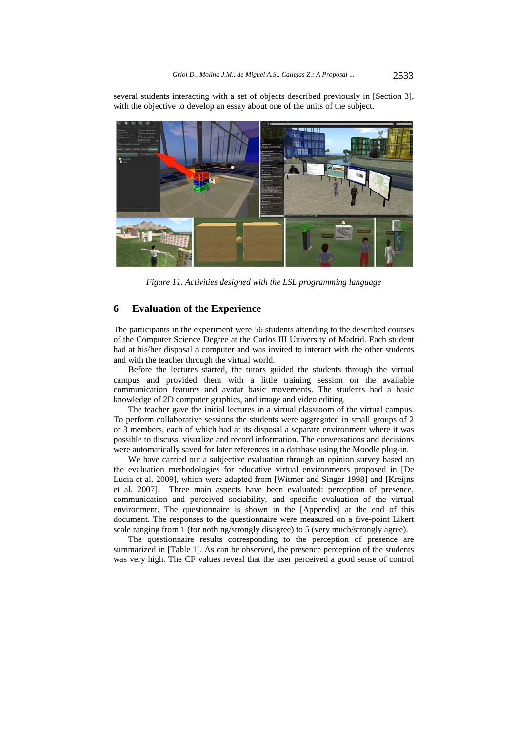several students interacting with a set of objects described previously in [Section 3], with the objective to develop an essay about one of the units of the subject.



*Figure 11. Activities designed with the LSL programming language* 

## **6 Evaluation of the Experience**

The participants in the experiment were 56 students attending to the described courses of the Computer Science Degree at the Carlos III University of Madrid. Each student had at his/her disposal a computer and was invited to interact with the other students and with the teacher through the virtual world.

Before the lectures started, the tutors guided the students through the virtual campus and provided them with a little training session on the available communication features and avatar basic movements. The students had a basic knowledge of 2D computer graphics, and image and video editing.

The teacher gave the initial lectures in a virtual classroom of the virtual campus. To perform collaborative sessions the students were aggregated in small groups of 2 or 3 members, each of which had at its disposal a separate environment where it was possible to discuss, visualize and record information. The conversations and decisions were automatically saved for later references in a database using the Moodle plug-in.

We have carried out a subjective evaluation through an opinion survey based on the evaluation methodologies for educative virtual environments proposed in [De Lucia et al. 2009], which were adapted from [Witmer and Singer 1998] and [Kreijns et al. 2007]. Three main aspects have been evaluated: perception of presence, communication and perceived sociability, and specific evaluation of the virtual environment. The questionnaire is shown in the [Appendix] at the end of this document. The responses to the questionnaire were measured on a five-point Likert scale ranging from 1 (for nothing/strongly disagree) to 5 (very much/strongly agree).

The questionnaire results corresponding to the perception of presence are summarized in [Table 1]. As can be observed, the presence perception of the students was very high. The CF values reveal that the user perceived a good sense of control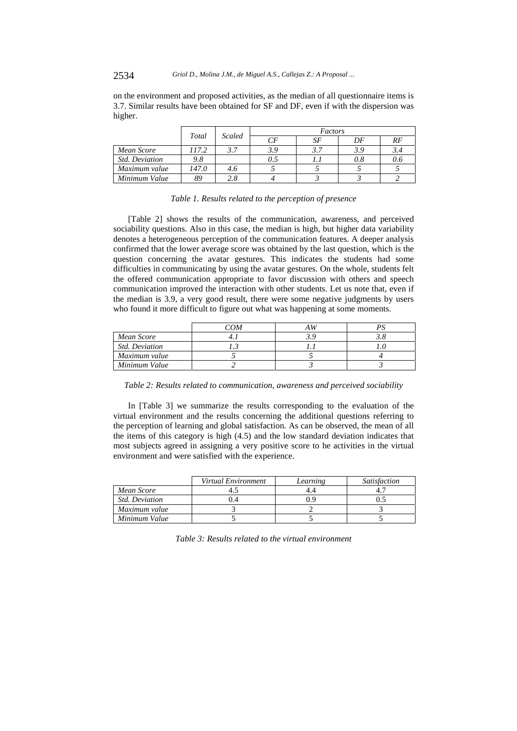2534 *Griol D., Molina J.M., de Miguel A.S., Callejas Z.: A Proposal ...*

on the environment and proposed activities, as the median of all questionnaire items is 3.7. Similar results have been obtained for SF and DF, even if with the dispersion was higher.

|                       | Total | <b>Scaled</b> | Factors |     |     |     |  |  |
|-----------------------|-------|---------------|---------|-----|-----|-----|--|--|
|                       |       |               | СF      | SF  | DF  | RF  |  |  |
| Mean Score            | 117.2 |               | 3.9     | 3.7 | 3.9 | 3.4 |  |  |
| <b>Std. Deviation</b> | 9.8   |               | 0.5     |     | 0.8 | 0.6 |  |  |
| Maximum value         | 147.0 | 4.6           |         |     |     |     |  |  |
| Minimum Value         | 89    | 2.8           |         |     |     |     |  |  |

#### *Table 1. Results related to the perception of presence*

[Table 2] shows the results of the communication, awareness, and perceived sociability questions. Also in this case, the median is high, but higher data variability denotes a heterogeneous perception of the communication features. A deeper analysis confirmed that the lower average score was obtained by the last question, which is the question concerning the avatar gestures. This indicates the students had some difficulties in communicating by using the avatar gestures. On the whole, students felt the offered communication appropriate to favor discussion with others and speech communication improved the interaction with other students. Let us note that, even if the median is 3.9, a very good result, there were some negative judgments by users who found it more difficult to figure out what was happening at some moments.

|                | COM |  |
|----------------|-----|--|
| Mean Score     |     |  |
| Std. Deviation |     |  |
| Maximum value  |     |  |
| Minimum Value  |     |  |

*Table 2: Results related to communication, awareness and perceived sociability* 

In [Table 3] we summarize the results corresponding to the evaluation of the virtual environment and the results concerning the additional questions referring to the perception of learning and global satisfaction. As can be observed, the mean of all the items of this category is high (4.5) and the low standard deviation indicates that most subjects agreed in assigning a very positive score to he activities in the virtual environment and were satisfied with the experience.

|                       | Virtual Environment | Learning | <i>Satisfaction</i> |
|-----------------------|---------------------|----------|---------------------|
| Mean Score            |                     |          |                     |
| <b>Std. Deviation</b> |                     |          |                     |
| Maximum value         |                     |          |                     |
| Minimum Value         |                     |          |                     |

*Table 3: Results related to the virtual environment*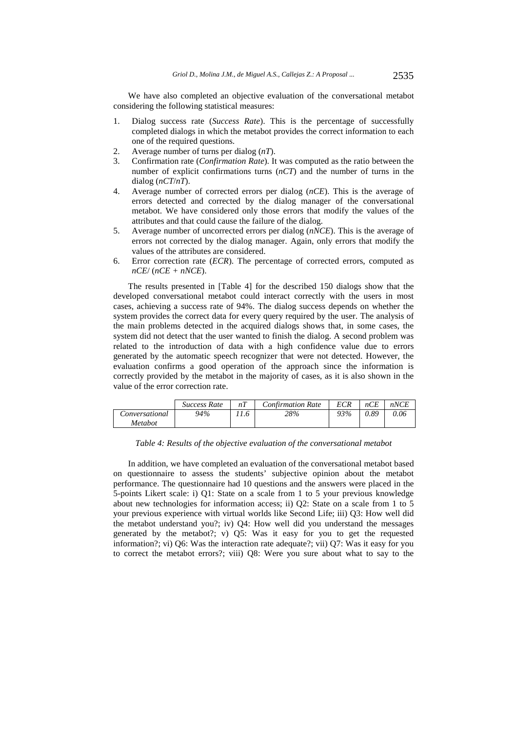We have also completed an objective evaluation of the conversational metabot considering the following statistical measures:

- 1. Dialog success rate (*Success Rate*). This is the percentage of successfully completed dialogs in which the metabot provides the correct information to each one of the required questions.
- 2. Average number of turns per dialog (*nT*).
- 3. Confirmation rate (*Confirmation Rate*). It was computed as the ratio between the number of explicit confirmations turns (*nCT*) and the number of turns in the dialog (*nCT*/*nT*).
- 4. Average number of corrected errors per dialog (*nCE*). This is the average of errors detected and corrected by the dialog manager of the conversational metabot. We have considered only those errors that modify the values of the attributes and that could cause the failure of the dialog.
- 5. Average number of uncorrected errors per dialog (*nNCE*). This is the average of errors not corrected by the dialog manager. Again, only errors that modify the values of the attributes are considered.
- 6. Error correction rate (*ECR*). The percentage of corrected errors, computed as *nCE*/ (*nCE + nNCE*).

The results presented in [Table 4] for the described 150 dialogs show that the developed conversational metabot could interact correctly with the users in most cases, achieving a success rate of 94%. The dialog success depends on whether the system provides the correct data for every query required by the user. The analysis of the main problems detected in the acquired dialogs shows that, in some cases, the system did not detect that the user wanted to finish the dialog. A second problem was related to the introduction of data with a high confidence value due to errors generated by the automatic speech recognizer that were not detected. However, the evaluation confirms a good operation of the approach since the information is correctly provided by the metabot in the majority of cases, as it is also shown in the value of the error correction rate.

|                | Success Rate | nT   | <b>Confirmation Rate</b> | ECR | nCE  | nNCE |
|----------------|--------------|------|--------------------------|-----|------|------|
| Conversational | 94%          | 11.6 | 28%                      | 93% | 0.89 | 0.06 |
| Metabot        |              |      |                          |     |      |      |

*Table 4: Results of the objective evaluation of the conversational metabot* 

In addition, we have completed an evaluation of the conversational metabot based on questionnaire to assess the students' subjective opinion about the metabot performance. The questionnaire had 10 questions and the answers were placed in the 5-points Likert scale: i) Q1: State on a scale from 1 to 5 your previous knowledge about new technologies for information access; ii) Q2: State on a scale from 1 to 5 your previous experience with virtual worlds like Second Life; iii) Q3: How well did the metabot understand you?; iv) Q4: How well did you understand the messages generated by the metabot?; v) Q5: Was it easy for you to get the requested information?; vi) Q6: Was the interaction rate adequate?; vii) Q7: Was it easy for you to correct the metabot errors?; viii) Q8: Were you sure about what to say to the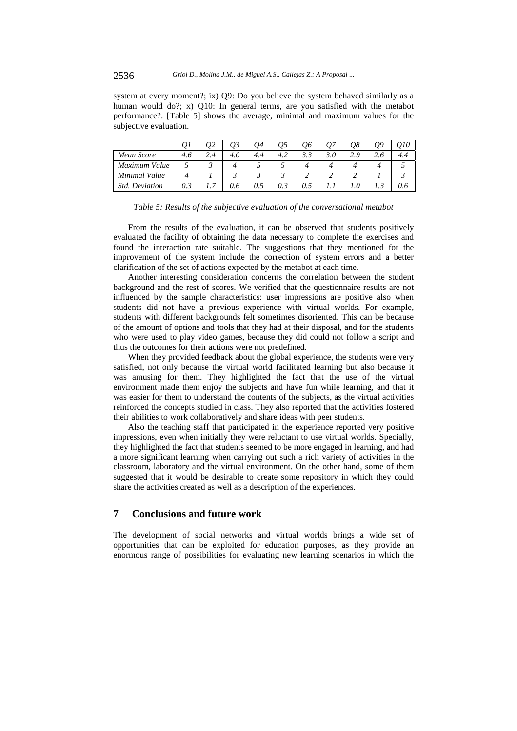2536 *Griol D., Molina J.M., de Miguel A.S., Callejas Z.: A Proposal ...*

system at every moment?; ix) Q9: Do you believe the system behaved similarly as a human would do?; x) Q10: In general terms, are you satisfied with the metabot performance?. [Table 5] shows the average, minimal and maximum values for the subjective evaluation.

|                       | QІ  | Q2  | QЗ  | Q4  | Q5  | Q6  | Q7  | Q8  | Q9  | 010 |
|-----------------------|-----|-----|-----|-----|-----|-----|-----|-----|-----|-----|
| Mean Score            | 4.6 | 2.4 | 4.0 | 4.4 | 4.2 | 3.3 | 3.0 | 2.9 | 2.6 | 4.4 |
| Maximum Value         |     |     |     |     |     |     |     |     |     |     |
| Minimal Value         |     |     |     |     |     |     |     |     |     |     |
| <b>Std.</b> Deviation | 0.3 | . 7 | 0.6 | 0.5 | 0.3 | 0.5 |     |     | ن د | 0.6 |

| Table 5: Results of the subjective evaluation of the conversational metabot |
|-----------------------------------------------------------------------------|
|-----------------------------------------------------------------------------|

From the results of the evaluation, it can be observed that students positively evaluated the facility of obtaining the data necessary to complete the exercises and found the interaction rate suitable. The suggestions that they mentioned for the improvement of the system include the correction of system errors and a better clarification of the set of actions expected by the metabot at each time.

Another interesting consideration concerns the correlation between the student background and the rest of scores. We verified that the questionnaire results are not influenced by the sample characteristics: user impressions are positive also when students did not have a previous experience with virtual worlds. For example, students with different backgrounds felt sometimes disoriented. This can be because of the amount of options and tools that they had at their disposal, and for the students who were used to play video games, because they did could not follow a script and thus the outcomes for their actions were not predefined.

When they provided feedback about the global experience, the students were very satisfied, not only because the virtual world facilitated learning but also because it was amusing for them. They highlighted the fact that the use of the virtual environment made them enjoy the subjects and have fun while learning, and that it was easier for them to understand the contents of the subjects, as the virtual activities reinforced the concepts studied in class. They also reported that the activities fostered their abilities to work collaboratively and share ideas with peer students.

Also the teaching staff that participated in the experience reported very positive impressions, even when initially they were reluctant to use virtual worlds. Specially, they highlighted the fact that students seemed to be more engaged in learning, and had a more significant learning when carrying out such a rich variety of activities in the classroom, laboratory and the virtual environment. On the other hand, some of them suggested that it would be desirable to create some repository in which they could share the activities created as well as a description of the experiences.

## **7 Conclusions and future work**

The development of social networks and virtual worlds brings a wide set of opportunities that can be exploited for education purposes, as they provide an enormous range of possibilities for evaluating new learning scenarios in which the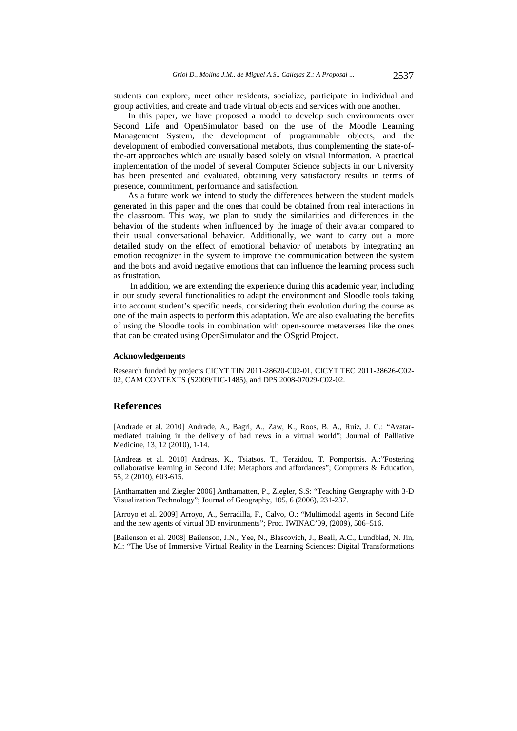students can explore, meet other residents, socialize, participate in individual and group activities, and create and trade virtual objects and services with one another.

In this paper, we have proposed a model to develop such environments over Second Life and OpenSimulator based on the use of the Moodle Learning Management System, the development of programmable objects, and the development of embodied conversational metabots, thus complementing the state-ofthe-art approaches which are usually based solely on visual information. A practical implementation of the model of several Computer Science subjects in our University has been presented and evaluated, obtaining very satisfactory results in terms of presence, commitment, performance and satisfaction.

As a future work we intend to study the differences between the student models generated in this paper and the ones that could be obtained from real interactions in the classroom. This way, we plan to study the similarities and differences in the behavior of the students when influenced by the image of their avatar compared to their usual conversational behavior. Additionally, we want to carry out a more detailed study on the effect of emotional behavior of metabots by integrating an emotion recognizer in the system to improve the communication between the system and the bots and avoid negative emotions that can influence the learning process such as frustration.

 In addition, we are extending the experience during this academic year, including in our study several functionalities to adapt the environment and Sloodle tools taking into account student's specific needs, considering their evolution during the course as one of the main aspects to perform this adaptation. We are also evaluating the benefits of using the Sloodle tools in combination with open-source metaverses like the ones that can be created using OpenSimulator and the OSgrid Project.

### **Acknowledgements**

Research funded by projects CICYT TIN 2011-28620-C02-01, CICYT TEC 2011-28626-C02- 02, CAM CONTEXTS (S2009/TIC-1485), and DPS 2008-07029-C02-02.

#### **References**

[Andrade et al. 2010] Andrade, A., Bagri, A., Zaw, K., Roos, B. A., Ruiz, J. G.: "Avatarmediated training in the delivery of bad news in a virtual world"; Journal of Palliative Medicine, 13, 12 (2010), 1-14.

[Andreas et al. 2010] Andreas, K., Tsiatsos, T., Terzidou, T. Pomportsis, A.:"Fostering collaborative learning in Second Life: Metaphors and affordances"; Computers & Education, 55, 2 (2010), 603-615.

[Anthamatten and Ziegler 2006] Anthamatten, P., Ziegler, S.S: "Teaching Geography with 3-D Visualization Technology"; Journal of Geography, 105, 6 (2006), 231-237.

[Arroyo et al. 2009] Arroyo, A., Serradilla, F., Calvo, O.: "Multimodal agents in Second Life and the new agents of virtual 3D environments"; Proc. IWINAC'09, (2009), 506–516.

[Bailenson et al. 2008] Bailenson, J.N., Yee, N., Blascovich, J., Beall, A.C., Lundblad, N. Jin, M.: "The Use of Immersive Virtual Reality in the Learning Sciences: Digital Transformations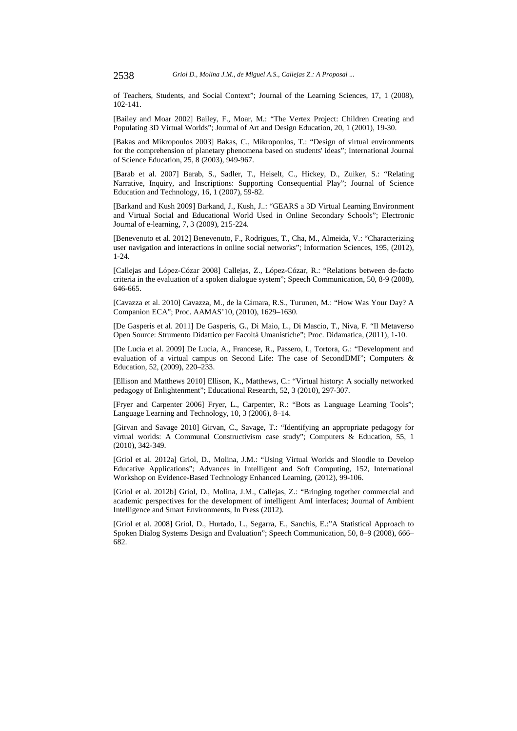of Teachers, Students, and Social Context"; Journal of the Learning Sciences, 17, 1 (2008), 102-141.

[Bailey and Moar 2002] Bailey, F., Moar, M.: "The Vertex Project: Children Creating and Populating 3D Virtual Worlds"; Journal of Art and Design Education, 20, 1 (2001), 19-30.

[Bakas and Mikropoulos 2003] Bakas, C., Mikropoulos, T.: "Design of virtual environments for the comprehension of planetary phenomena based on students' ideas"; International Journal of Science Education, 25, 8 (2003), 949-967.

[Barab et al. 2007] Barab, S., Sadler, T., Heiselt, C., Hickey, D., Zuiker, S.: "Relating Narrative, Inquiry, and Inscriptions: Supporting Consequential Play"; Journal of Science Education and Technology, 16, 1 (2007), 59-82.

[Barkand and Kush 2009] Barkand, J., Kush, J..: "GEARS a 3D Virtual Learning Environment and Virtual Social and Educational World Used in Online Secondary Schools"; Electronic Journal of e-learning, 7, 3 (2009), 215-224.

[Benevenuto et al. 2012] Benevenuto, F., Rodrigues, T., Cha, M., Almeida, V.: "Characterizing user navigation and interactions in online social networks"; Information Sciences, 195, (2012), 1-24.

[Callejas and López-Cózar 2008] Callejas, Z., López-Cózar, R.: "Relations between de-facto criteria in the evaluation of a spoken dialogue system"; Speech Communication, 50, 8-9 (2008), 646-665.

[Cavazza et al. 2010] Cavazza, M., de la Cámara, R.S., Turunen, M.: "How Was Your Day? A Companion ECA"; Proc. AAMAS'10, (2010), 1629–1630.

[De Gasperis et al. 2011] De Gasperis, G., Di Maio, L., Di Mascio, T., Niva, F. "Il Metaverso Open Source: Strumento Didattico per Facoltà Umanistiche"; Proc. Didamatica, (2011), 1-10.

[De Lucia et al. 2009] De Lucia, A., Francese, R., Passero, I., Tortora, G.: "Development and evaluation of a virtual campus on Second Life: The case of SecondDMI"; Computers & Education, 52, (2009), 220–233.

[Ellison and Matthews 2010] Ellison, K., Matthews, C.: "Virtual history: A socially networked pedagogy of Enlightenment"; Educational Research, 52, 3 (2010), 297-307.

[Fryer and Carpenter 2006] Fryer, L., Carpenter, R.: "Bots as Language Learning Tools"; Language Learning and Technology, 10, 3 (2006), 8–14.

[Girvan and Savage 2010] Girvan, C., Savage, T.: "Identifying an appropriate pedagogy for virtual worlds: A Communal Constructivism case study"; Computers & Education, 55, 1 (2010), 342-349.

[Griol et al. 2012a] Griol, D., Molina, J.M.: "Using Virtual Worlds and Sloodle to Develop Educative Applications"; Advances in Intelligent and Soft Computing, 152, International Workshop on Evidence-Based Technology Enhanced Learning, (2012), 99-106.

[Griol et al. 2012b] Griol, D., Molina, J.M., Callejas, Z.: "Bringing together commercial and academic perspectives for the development of intelligent AmI interfaces; Journal of Ambient Intelligence and Smart Environments, In Press (2012).

[Griol et al. 2008] Griol, D., Hurtado, L., Segarra, E., Sanchis, E.:"A Statistical Approach to Spoken Dialog Systems Design and Evaluation"; Speech Communication, 50, 8–9 (2008), 666– 682.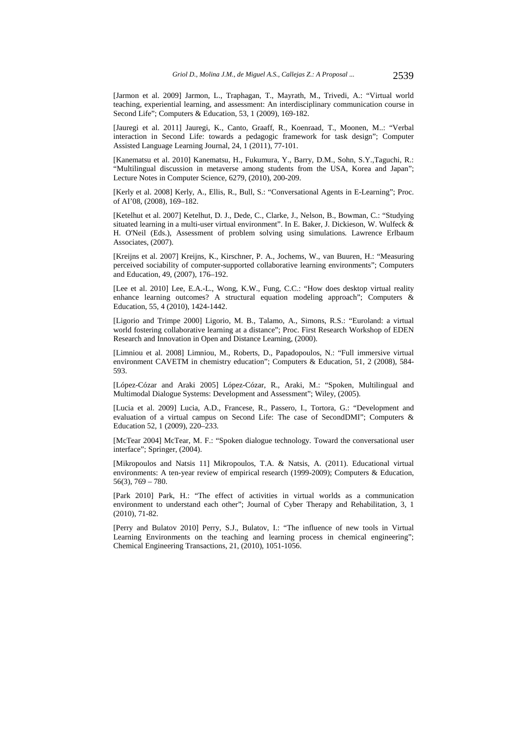[Jarmon et al. 2009] Jarmon, L., Traphagan, T., Mayrath, M., Trivedi, A.: "Virtual world teaching, experiential learning, and assessment: An interdisciplinary communication course in Second Life"; Computers & Education, 53, 1 (2009), 169-182.

[Jauregi et al. 2011] Jauregi, K., Canto, Graaff, R., Koenraad, T., Moonen, M..: "Verbal interaction in Second Life: towards a pedagogic framework for task design"; Computer Assisted Language Learning Journal, 24, 1 (2011), 77-101.

[Kanematsu et al. 2010] Kanematsu, H., Fukumura, Y., Barry, D.M., Sohn, S.Y.,Taguchi, R.: "Multilingual discussion in metaverse among students from the USA, Korea and Japan"; Lecture Notes in Computer Science, 6279, (2010), 200-209.

[Kerly et al. 2008] Kerly, A., Ellis, R., Bull, S.: "Conversational Agents in E-Learning"; Proc. of AI'08, (2008), 169–182.

[Ketelhut et al. 2007] Ketelhut, D. J., Dede, C., Clarke, J., Nelson, B., Bowman, C.: "Studying situated learning in a multi-user virtual environment". In E. Baker, J. Dickieson, W. Wulfeck & H. O'Neil (Eds.), Assessment of problem solving using simulations*.* Lawrence Erlbaum Associates, (2007).

[Kreijns et al. 2007] Kreijns, K., Kirschner, P. A., Jochems, W., van Buuren, H.: "Measuring perceived sociability of computer-supported collaborative learning environments"; Computers and Education, 49, (2007), 176–192.

[Lee et al. 2010] Lee, E.A.-L., Wong, K.W., Fung, C.C.: "How does desktop virtual reality enhance learning outcomes? A structural equation modeling approach"; Computers & Education, 55, 4 (2010), 1424-1442.

[Ligorio and Trimpe 2000] Ligorio, M. B., Talamo, A., Simons, R.S.: "Euroland: a virtual world fostering collaborative learning at a distance"; Proc. First Research Workshop of EDEN Research and Innovation in Open and Distance Learning, (2000).

[Limniou et al. 2008] Limniou, M., Roberts, D., Papadopoulos, N.: "Full immersive virtual environment CAVETM in chemistry education"; Computers & Education, 51, 2 (2008), 584- 593.

[López-Cózar and Araki 2005] López-Cózar, R., Araki, M.: "Spoken, Multilingual and Multimodal Dialogue Systems: Development and Assessment"; Wiley, (2005).

[Lucia et al. 2009] Lucia, A.D., Francese, R., Passero, I., Tortora, G.: "Development and evaluation of a virtual campus on Second Life: The case of SecondDMI"; Computers & Education 52, 1 (2009), 220–233.

[McTear 2004] McTear, M. F.: "Spoken dialogue technology. Toward the conversational user interface"; Springer, (2004).

[Mikropoulos and Natsis 11] Mikropoulos, T.A. & Natsis, A. (2011). Educational virtual environments: A ten-year review of empirical research (1999-2009); Computers & Education, 56(3), 769 – 780.

[Park 2010] Park, H.: "The effect of activities in virtual worlds as a communication environment to understand each other"; Journal of Cyber Therapy and Rehabilitation, 3, 1 (2010), 71-82.

[Perry and Bulatov 2010] Perry, S.J., Bulatov, I.: "The influence of new tools in Virtual Learning Environments on the teaching and learning process in chemical engineering"; Chemical Engineering Transactions, 21, (2010), 1051-1056.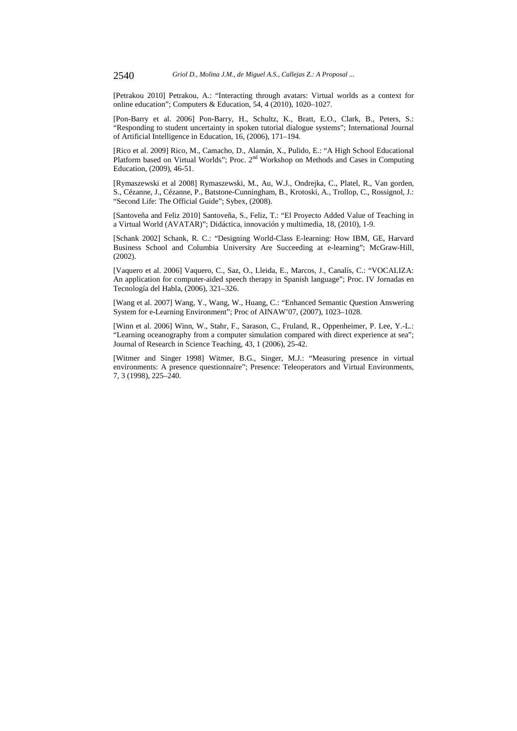[Petrakou 2010] Petrakou, A.: "Interacting through avatars: Virtual worlds as a context for online education"; Computers & Education, 54, 4 (2010), 1020–1027.

[Pon-Barry et al. 2006] Pon-Barry, H., Schultz, K., Bratt, E.O., Clark, B., Peters, S.: "Responding to student uncertainty in spoken tutorial dialogue systems"; International Journal of Artificial Intelligence in Education, 16, (2006), 171–194.

[Rico et al. 2009] Rico, M., Camacho, D., Alamán, X., Pulido, E.: "A High School Educational Platform based on Virtual Worlds"; Proc. 2<sup>nd</sup> Workshop on Methods and Cases in Computing Education, (2009), 46-51.

[Rymaszewski et al 2008] Rymaszewski, M., Au, W.J., Ondrejka, C., Platel, R., Van gorden, S., Cézanne, J., Cézanne, P., Batstone-Cunningham, B., Krotoski, A., Trollop, C., Rossignol, J.: "Second Life: The Official Guide"; Sybex, (2008).

[Santoveña and Feliz 2010] Santoveña, S., Feliz, T.: "El Proyecto Added Value of Teaching in a Virtual World (AVATAR)"; Didáctica, innovación y multimedia, 18, (2010), 1-9.

[Schank 2002] Schank, R. C.: "Designing World-Class E-learning: How IBM, GE, Harvard Business School and Columbia University Are Succeeding at e-learning"; McGraw-Hill, (2002).

[Vaquero et al. 2006] Vaquero, C., Saz, O., Lleida, E., Marcos, J., Canalís, C.: "VOCALIZA: An application for computer-aided speech therapy in Spanish language"; Proc. IV Jornadas en Tecnología del Habla, (2006), 321–326.

[Wang et al. 2007] Wang, Y., Wang, W., Huang, C.: "Enhanced Semantic Question Answering System for e-Learning Environment"; Proc of AINAW'07, (2007), 1023–1028.

[Winn et al. 2006] Winn, W., Stahr, F., Sarason, C., Fruland, R., Oppenheimer, P. Lee, Y.-L.: "Learning oceanography from a computer simulation compared with direct experience at sea"; Journal of Research in Science Teaching, 43, 1 (2006), 25-42.

[Witmer and Singer 1998] Witmer, B.G., Singer, M.J.: "Measuring presence in virtual environments: A presence questionnaire"; Presence: Teleoperators and Virtual Environments, 7, 3 (1998), 225–240.